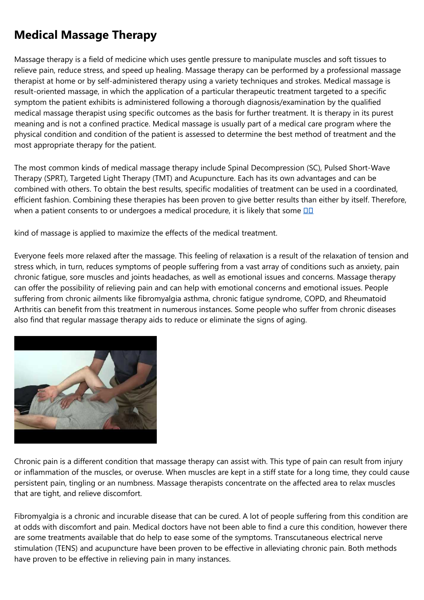## **Medical Massage Therapy**

Massage therapy is a field of medicine which uses gentle pressure to manipulate muscles and soft tissues to relieve pain, reduce stress, and speed up healing. Massage therapy can be performed by a professional massage therapist at home or by self-administered therapy using a variety techniques and strokes. Medical massage is result-oriented massage, in which the application of a particular therapeutic treatment targeted to a specific symptom the patient exhibits is administered following a thorough diagnosis/examination by the qualified medical massage therapist using specific outcomes as the basis for further treatment. It is therapy in its purest meaning and is not a confined practice. Medical massage is usually part of a medical care program where the physical condition and condition of the patient is assessed to determine the best method of treatment and the most appropriate therapy for the patient.

The most common kinds of medical massage therapy include Spinal Decompression (SC), Pulsed Short-Wave Therapy (SPRT), Targeted Light Therapy (TMT) and Acupuncture. Each has its own advantages and can be combined with others. To obtain the best results, specific modalities of treatment can be used in a coordinated, efficient fashion. Combining these therapies has been proven to give better results than either by itself. Therefore, when a patient consents to or undergoes a medical procedure, it is likely that some **DD** 

kind of massage is applied to maximize the effects of the medical treatment.

Everyone feels more relaxed after the massage. This feeling of relaxation is a result of the relaxation of tension and stress which, in turn, reduces symptoms of people suffering from a vast array of conditions such as anxiety, pain chronic fatigue, sore muscles and joints headaches, as well as emotional issues and concerns. Massage therapy can offer the possibility of relieving pain and can help with emotional concerns and emotional issues. People suffering from chronic ailments like fibromyalgia asthma, chronic fatigue syndrome, COPD, and Rheumatoid Arthritis can benefit from this treatment in numerous instances. Some people who suffer from chronic diseases also find that regular massage therapy aids to reduce or eliminate the signs of aging.



Chronic pain is a different condition that massage therapy can assist with. This type of pain can result from injury or inflammation of the muscles, or overuse. When muscles are kept in a stiff state for a long time, they could cause persistent pain, tingling or an numbness. Massage therapists concentrate on the affected area to relax muscles that are tight, and relieve discomfort.

Fibromyalgia is a chronic and incurable disease that can be cured. A lot of people suffering from this condition are at odds with discomfort and pain. Medical doctors have not been able to find a cure this condition, however there are some treatments available that do help to ease some of the symptoms. Transcutaneous electrical nerve stimulation (TENS) and acupuncture have been proven to be effective in alleviating chronic pain. Both methods have proven to be effective in relieving pain in many instances.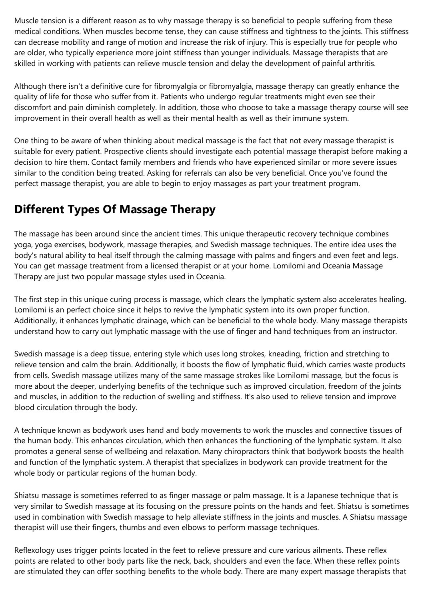Muscle tension is a different reason as to why massage therapy is so beneficial to people suffering from these medical conditions. When muscles become tense, they can cause stiffness and tightness to the joints. This stiffness can decrease mobility and range of motion and increase the risk of injury. This is especially true for people who are older, who typically experience more joint stiffness than younger individuals. Massage therapists that are skilled in working with patients can relieve muscle tension and delay the development of painful arthritis.

Although there isn't a definitive cure for fibromyalgia or fibromyalgia, massage therapy can greatly enhance the quality of life for those who suffer from it. Patients who undergo regular treatments might even see their discomfort and pain diminish completely. In addition, those who choose to take a massage therapy course will see improvement in their overall health as well as their mental health as well as their immune system.

One thing to be aware of when thinking about medical massage is the fact that not every massage therapist is suitable for every patient. Prospective clients should investigate each potential massage therapist before making a decision to hire them. Contact family members and friends who have experienced similar or more severe issues similar to the condition being treated. Asking for referrals can also be very beneficial. Once you've found the perfect massage therapist, you are able to begin to enjoy massages as part your treatment program.

## **Different Types Of Massage Therapy**

The massage has been around since the ancient times. This unique therapeutic recovery technique combines yoga, yoga exercises, bodywork, massage therapies, and Swedish massage techniques. The entire idea uses the body's natural ability to heal itself through the calming massage with palms and fingers and even feet and legs. You can get massage treatment from a licensed therapist or at your home. Lomilomi and Oceania Massage Therapy are just two popular massage styles used in Oceania.

The first step in this unique curing process is massage, which clears the lymphatic system also accelerates healing. Lomilomi is an perfect choice since it helps to revive the lymphatic system into its own proper function. Additionally, it enhances lymphatic drainage, which can be beneficial to the whole body. Many massage therapists understand how to carry out lymphatic massage with the use of finger and hand techniques from an instructor.

Swedish massage is a deep tissue, entering style which uses long strokes, kneading, friction and stretching to relieve tension and calm the brain. Additionally, it boosts the flow of lymphatic fluid, which carries waste products from cells. Swedish massage utilizes many of the same massage strokes like Lomilomi massage, but the focus is more about the deeper, underlying benefits of the technique such as improved circulation, freedom of the joints and muscles, in addition to the reduction of swelling and stiffness. It's also used to relieve tension and improve blood circulation through the body.

A technique known as bodywork uses hand and body movements to work the muscles and connective tissues of the human body. This enhances circulation, which then enhances the functioning of the lymphatic system. It also promotes a general sense of wellbeing and relaxation. Many chiropractors think that bodywork boosts the health and function of the lymphatic system. A therapist that specializes in bodywork can provide treatment for the whole body or particular regions of the human body.

Shiatsu massage is sometimes referred to as finger massage or palm massage. It is a Japanese technique that is very similar to Swedish massage at its focusing on the pressure points on the hands and feet. Shiatsu is sometimes used in combination with Swedish massage to help alleviate stiffness in the joints and muscles. A Shiatsu massage therapist will use their fingers, thumbs and even elbows to perform massage techniques.

Reflexology uses trigger points located in the feet to relieve pressure and cure various ailments. These reflex points are related to other body parts like the neck, back, shoulders and even the face. When these reflex points are stimulated they can offer soothing benefits to the whole body. There are many expert massage therapists that